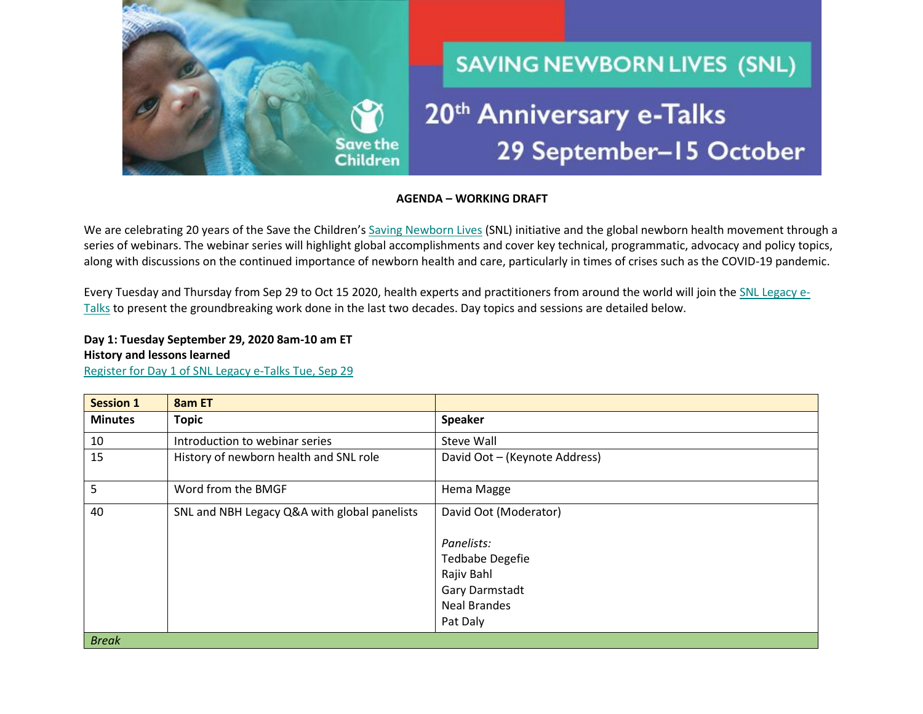

**AGENDA – WORKING DRAFT**

We are celebrating 20 years of the Save the Children's [Saving Newborn Lives](https://www.savethechildren.org/us/what-we-do/global-programs/health/newborn-health) (SNL) initiative and the global newborn health movement through a series of webinars. The webinar series will highlight global accomplishments and cover key technical, programmatic, advocacy and policy topics, along with discussions on the continued importance of newborn health and care, particularly in times of crises such as the COVID-19 pandemic. 

Every Tuesday and Thursday from Sep 29 to Oct 15 2020, health experts and practitioners from around the world will join th[e SNL Legacy e-](https://www.healthynewbornnetwork.org/event/saving-newborn-lives-legacy-e-talks/)[Talks](https://www.healthynewbornnetwork.org/event/saving-newborn-lives-legacy-e-talks/) to present the groundbreaking work done in the last two decades. Day topics and sessions are detailed below.

**Day 1: Tuesday September 29, 2020 8am-10 am ET History and lessons learned** [Register for Day 1 of SNL Legacy e-Talks Tue, Sep 29](https://savechildren.zoom.us/webinar/register/WN_nhRE-9QMR3yz9fDR1HlDtQ)

| <b>Session 1</b> | 8am ET                                       |                               |
|------------------|----------------------------------------------|-------------------------------|
| <b>Minutes</b>   | <b>Topic</b>                                 | <b>Speaker</b>                |
| 10               | Introduction to webinar series               | <b>Steve Wall</b>             |
| 15               | History of newborn health and SNL role       | David Oot - (Keynote Address) |
| 5                | Word from the BMGF                           | Hema Magge                    |
| 40               | SNL and NBH Legacy Q&A with global panelists | David Oot (Moderator)         |
|                  |                                              | Panelists:                    |
|                  |                                              | <b>Tedbabe Degefie</b>        |
|                  |                                              | Rajiv Bahl                    |
|                  |                                              | Gary Darmstadt                |
|                  |                                              | <b>Neal Brandes</b>           |
|                  |                                              | Pat Daly                      |
| <b>Break</b>     |                                              |                               |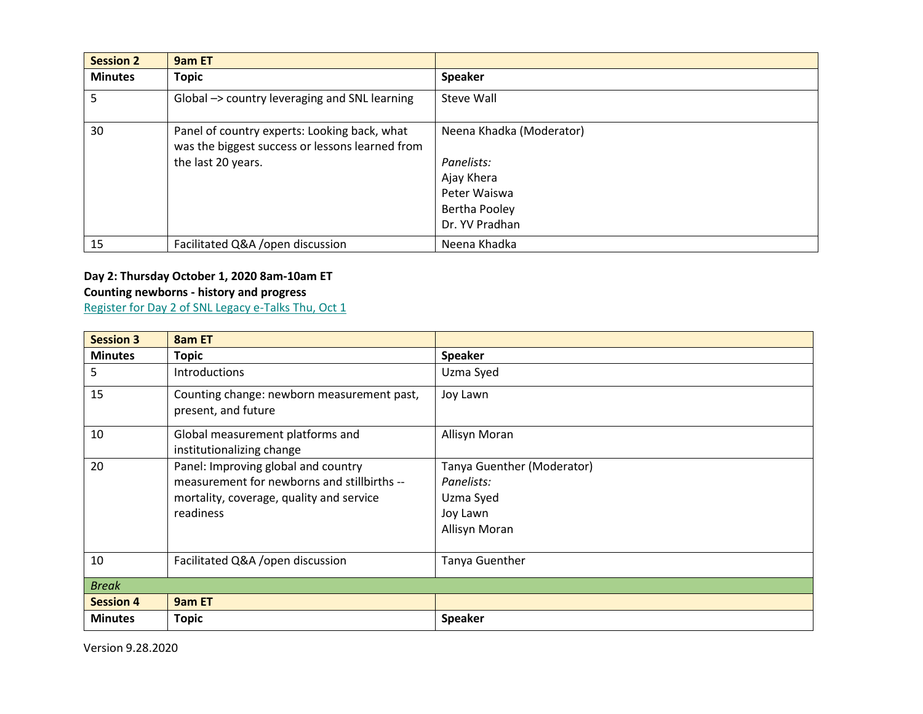| <b>Session 2</b> | 9am ET                                                                                          |                          |
|------------------|-------------------------------------------------------------------------------------------------|--------------------------|
| <b>Minutes</b>   | <b>Topic</b>                                                                                    | <b>Speaker</b>           |
| 5                | Global -> country leveraging and SNL learning                                                   | Steve Wall               |
| 30               | Panel of country experts: Looking back, what<br>was the biggest success or lessons learned from | Neena Khadka (Moderator) |
|                  | the last 20 years.                                                                              | Panelists:               |
|                  |                                                                                                 | Ajay Khera               |
|                  |                                                                                                 | Peter Waiswa             |
|                  |                                                                                                 | Bertha Pooley            |
|                  |                                                                                                 | Dr. YV Pradhan           |
| 15               | Facilitated Q&A / open discussion                                                               | Neena Khadka             |

## **Day 2: Thursday October 1, 2020 8am-10am ET Counting newborns - history and progress**

[Register for Day 2 of SNL Legacy e-Talks Thu, Oct 1](https://savechildren.zoom.us/webinar/register/WN_Ghjcs5tATMi20omJFPDflg)

| <b>Session 3</b> | 8am ET                                                                                                                                      |                                                                                    |
|------------------|---------------------------------------------------------------------------------------------------------------------------------------------|------------------------------------------------------------------------------------|
| <b>Minutes</b>   | <b>Topic</b>                                                                                                                                | <b>Speaker</b>                                                                     |
| 5                | Introductions                                                                                                                               | Uzma Syed                                                                          |
| 15               | Counting change: newborn measurement past,<br>present, and future                                                                           | Joy Lawn                                                                           |
| 10               | Global measurement platforms and<br>institutionalizing change                                                                               | Allisyn Moran                                                                      |
| 20               | Panel: Improving global and country<br>measurement for newborns and stillbirths --<br>mortality, coverage, quality and service<br>readiness | Tanya Guenther (Moderator)<br>Panelists:<br>Uzma Syed<br>Joy Lawn<br>Allisyn Moran |
| 10               | Facilitated Q&A / open discussion                                                                                                           | Tanya Guenther                                                                     |
| <b>Break</b>     |                                                                                                                                             |                                                                                    |
| <b>Session 4</b> | 9am ET                                                                                                                                      |                                                                                    |
| <b>Minutes</b>   | Topic                                                                                                                                       | <b>Speaker</b>                                                                     |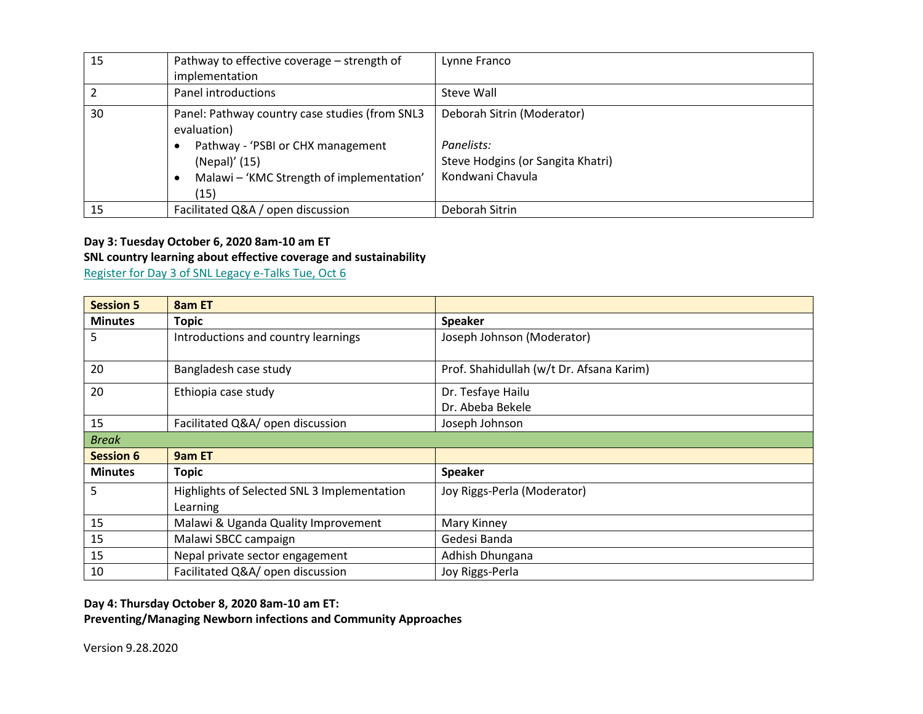| 15 | Pathway to effective coverage - strength of<br>implementation                                                                                                            | Lynne Franco                                                                                      |
|----|--------------------------------------------------------------------------------------------------------------------------------------------------------------------------|---------------------------------------------------------------------------------------------------|
|    | Panel introductions                                                                                                                                                      | Steve Wall                                                                                        |
| 30 | Panel: Pathway country case studies (from SNL3<br>evaluation)<br>Pathway - 'PSBI or CHX management<br>(Nepal)' (15)<br>Malawi - 'KMC Strength of implementation'<br>(15) | Deborah Sitrin (Moderator)<br>Panelists:<br>Steve Hodgins (or Sangita Khatri)<br>Kondwani Chavula |
| 15 | Facilitated Q&A / open discussion                                                                                                                                        | Deborah Sitrin                                                                                    |

### **Day 3: Tuesday October 6, 2020 8am-10 am ET SNL country learning about effective coverage and sustainability**

[Register for Day 3 of SNL Legacy e-Talks Tue, Oct 6](https://savechildren.zoom.us/webinar/register/WN_kOTcnIkXRM29Kfq55KEygw)

| <b>Session 5</b> | 8am ET                                      |                                          |
|------------------|---------------------------------------------|------------------------------------------|
| <b>Minutes</b>   | <b>Topic</b>                                | <b>Speaker</b>                           |
| 5.               | Introductions and country learnings         | Joseph Johnson (Moderator)               |
|                  |                                             |                                          |
| 20               | Bangladesh case study                       | Prof. Shahidullah (w/t Dr. Afsana Karim) |
| 20               | Ethiopia case study                         | Dr. Tesfaye Hailu                        |
|                  |                                             | Dr. Abeba Bekele                         |
| 15               | Facilitated Q&A/ open discussion            | Joseph Johnson                           |
| <b>Break</b>     |                                             |                                          |
| <b>Session 6</b> | 9am ET                                      |                                          |
| <b>Minutes</b>   | <b>Topic</b>                                | <b>Speaker</b>                           |
| 5.               | Highlights of Selected SNL 3 Implementation | Joy Riggs-Perla (Moderator)              |
|                  | Learning                                    |                                          |
| 15               | Malawi & Uganda Quality Improvement         | Mary Kinney                              |
| 15               | Malawi SBCC campaign                        | Gedesi Banda                             |
| 15               | Nepal private sector engagement             | Adhish Dhungana                          |
| 10               | Facilitated Q&A/ open discussion            | Joy Riggs-Perla                          |

**Day 4: Thursday October 8, 2020 8am-10 am ET:** 

**Preventing/Managing Newborn infections and Community Approaches**

Version 9.28.2020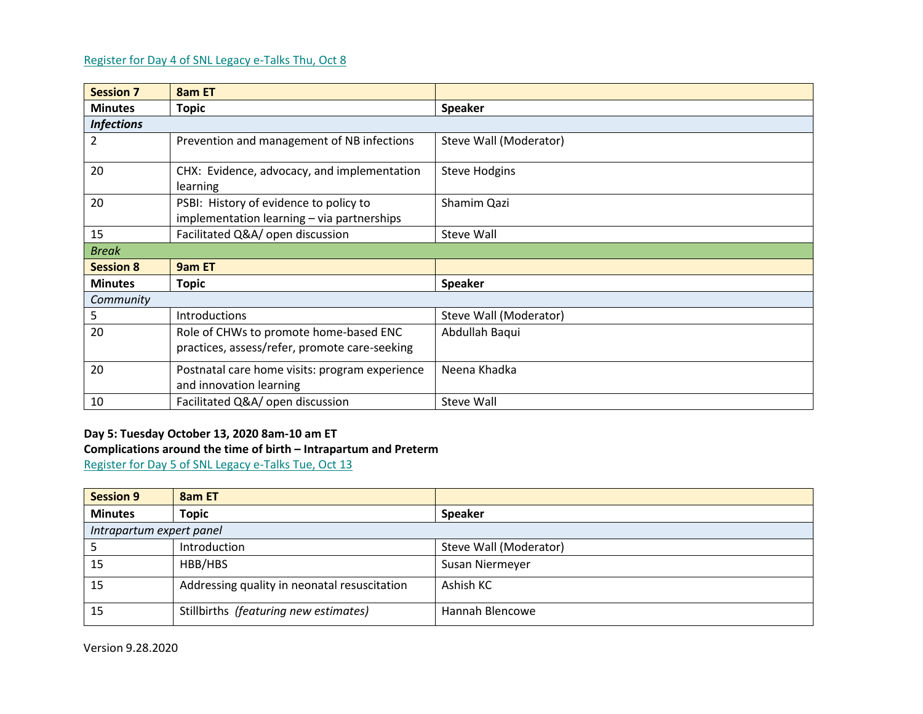### [Register for Day 4 of SNL Legacy e-Talks Thu, Oct 8](https://savechildren.zoom.us/webinar/register/WN_-i6MMQzbQJukDcVw3abVcA)

| <b>Session 7</b>  | 8am ET                                                                               |                        |
|-------------------|--------------------------------------------------------------------------------------|------------------------|
| <b>Minutes</b>    | <b>Topic</b>                                                                         | <b>Speaker</b>         |
| <b>Infections</b> |                                                                                      |                        |
| 2                 | Prevention and management of NB infections                                           | Steve Wall (Moderator) |
| 20                | CHX: Evidence, advocacy, and implementation<br>learning                              | <b>Steve Hodgins</b>   |
| 20                | PSBI: History of evidence to policy to<br>implementation learning - via partnerships | Shamim Qazi            |
| 15                | Facilitated Q&A/ open discussion                                                     | Steve Wall             |
| <b>Break</b>      |                                                                                      |                        |
| <b>Session 8</b>  | 9am ET                                                                               |                        |
| <b>Minutes</b>    | <b>Topic</b>                                                                         | <b>Speaker</b>         |
| Community         |                                                                                      |                        |
| 5                 | <b>Introductions</b>                                                                 | Steve Wall (Moderator) |
| 20                | Role of CHWs to promote home-based ENC                                               | Abdullah Baqui         |
|                   | practices, assess/refer, promote care-seeking                                        |                        |
| 20                | Postnatal care home visits: program experience<br>and innovation learning            | Neena Khadka           |
| 10                | Facilitated Q&A/ open discussion                                                     | Steve Wall             |

#### **Day 5: Tuesday October 13, 2020 8am-10 am ET Complications around the time of birth – Intrapartum and Preterm**

[Register for Day 5 of SNL Legacy e-Talks Tue, Oct 13](https://savechildren.zoom.us/webinar/register/WN_M2qEOYyGQByohm8gFHVRsw)

| <b>Session 9</b>         | 8am ET                                       |                        |
|--------------------------|----------------------------------------------|------------------------|
| <b>Minutes</b>           | <b>Topic</b>                                 | <b>Speaker</b>         |
| Intrapartum expert panel |                                              |                        |
|                          | Introduction                                 | Steve Wall (Moderator) |
| 15                       | HBB/HBS                                      | Susan Niermeyer        |
| 15                       | Addressing quality in neonatal resuscitation | Ashish KC              |
| 15                       | Stillbirths (featuring new estimates)        | Hannah Blencowe        |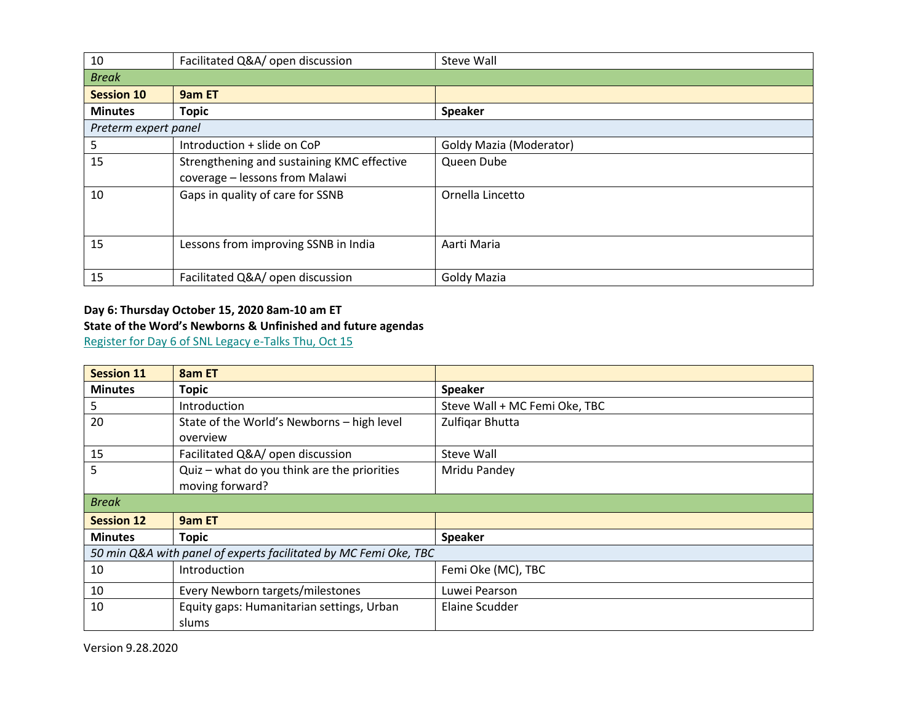| 10                   | Facilitated Q&A/ open discussion                                             | Steve Wall              |  |
|----------------------|------------------------------------------------------------------------------|-------------------------|--|
| <b>Break</b>         |                                                                              |                         |  |
| <b>Session 10</b>    | 9am ET                                                                       |                         |  |
| <b>Minutes</b>       | <b>Topic</b>                                                                 | <b>Speaker</b>          |  |
| Preterm expert panel |                                                                              |                         |  |
| 5                    | Introduction + slide on CoP                                                  | Goldy Mazia (Moderator) |  |
| 15                   | Strengthening and sustaining KMC effective<br>coverage - lessons from Malawi | Queen Dube              |  |
| 10                   | Gaps in quality of care for SSNB                                             | Ornella Lincetto        |  |
| 15                   | Lessons from improving SSNB in India                                         | Aarti Maria             |  |
| 15                   | Facilitated Q&A/ open discussion                                             | <b>Goldy Mazia</b>      |  |

# **Day 6: Thursday October 15, 2020 8am-10 am ET State of the Word's Newborns & Unfinished and future agendas**

[Register for Day 6 of SNL Legacy e-Talks Thu, Oct 15](https://savechildren.zoom.us/webinar/register/WN_R0BK6hi9RZyr64AE15Qusw)

| <b>Session 11</b>                                                | 8am ET                                      |                               |
|------------------------------------------------------------------|---------------------------------------------|-------------------------------|
| <b>Minutes</b>                                                   | <b>Topic</b>                                | <b>Speaker</b>                |
| 5                                                                | <b>Introduction</b>                         | Steve Wall + MC Femi Oke, TBC |
| 20                                                               | State of the World's Newborns - high level  | Zulfigar Bhutta               |
|                                                                  | overview                                    |                               |
| 15                                                               | Facilitated Q&A/ open discussion            | Steve Wall                    |
| 5                                                                | Quiz - what do you think are the priorities | Mridu Pandey                  |
|                                                                  | moving forward?                             |                               |
| <b>Break</b>                                                     |                                             |                               |
| <b>Session 12</b>                                                | 9am ET                                      |                               |
| <b>Minutes</b>                                                   | <b>Topic</b>                                | <b>Speaker</b>                |
| 50 min Q&A with panel of experts facilitated by MC Femi Oke, TBC |                                             |                               |
| 10                                                               | Introduction                                | Femi Oke (MC), TBC            |
| 10                                                               | Every Newborn targets/milestones            | Luwei Pearson                 |
| 10                                                               | Equity gaps: Humanitarian settings, Urban   | Elaine Scudder                |
|                                                                  | slums                                       |                               |